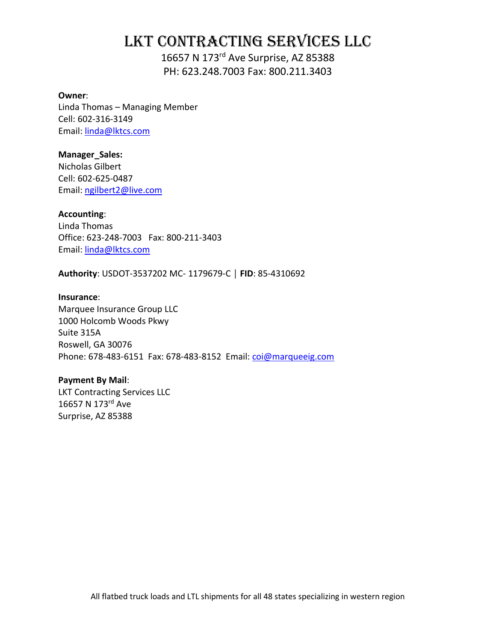# LKT Contracting Services LLC

16657 N 173rd Ave Surprise, AZ 85388 PH: 623.248.7003 Fax: 800.211.3403

#### **Owner**:

Linda Thomas – Managing Member Cell: 602-316-3149 Email: [linda@lktcs.com](mailto:linda@lktcs.com)

#### **Manager\_Sales:**

Nicholas Gilbert Cell: 602-625-0487 Email: [ngilbert2@live.com](mailto:ngilbert2@live.com)

#### **Accounting**:

Linda Thomas Office: 623-248-7003 Fax: 800-211-3403 Email: [linda@lktcs.com](mailto:linda@lktcs.com)

**Authority**: USDOT-3537202 MC- 1179679-C │ **FID**: 85-4310692

#### **Insurance**:

Marquee Insurance Group LLC 1000 Holcomb Woods Pkwy Suite 315A Roswell, GA 30076 Phone: 678-483-6151 Fax: 678-483-8152 Email: [coi@marqueeig.com](mailto:coi@marqueeig.com)

#### **Payment By Mail**:

LKT Contracting Services LLC 16657 N 173rd Ave Surprise, AZ 85388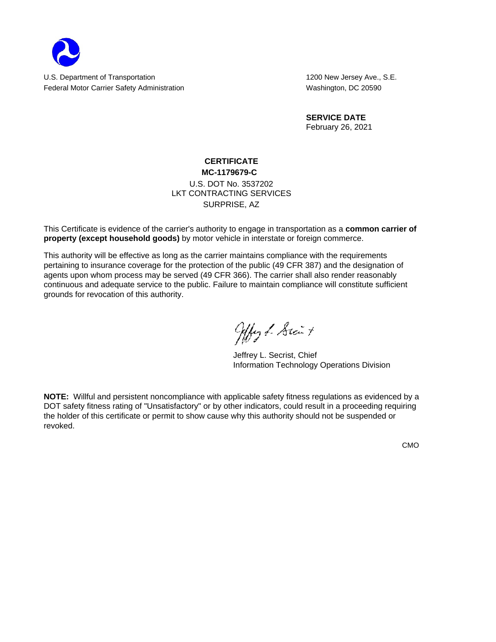

**SERVICE DATE** February 26, 2021

## **CERTIFICATE**

#### **MC-1179679-C** LKT CONTRACTING SERVICES SURPRISE, AZ U.S. DOT No. 3537202

This Certificate is evidence of the carrier's authority to engage in transportation as a **common carrier of property (except household goods)** by motor vehicle in interstate or foreign commerce.

This authority will be effective as long as the carrier maintains compliance with the requirements pertaining to insurance coverage for the protection of the public (49 CFR 387) and the designation of agents upon whom process may be served (49 CFR 366). The carrier shall also render reasonably continuous and adequate service to the public. Failure to maintain compliance will constitute sufficient grounds for revocation of this authority.

Ally & Stait

Information Technology Operations Division Jeffrey L. Secrist, Chief

**NOTE:** Willful and persistent noncompliance with applicable safety fitness regulations as evidenced by a DOT safety fitness rating of "Unsatisfactory" or by other indicators, could result in a proceeding requiring the holder of this certificate or permit to show cause why this authority should not be suspended or revoked.

CMO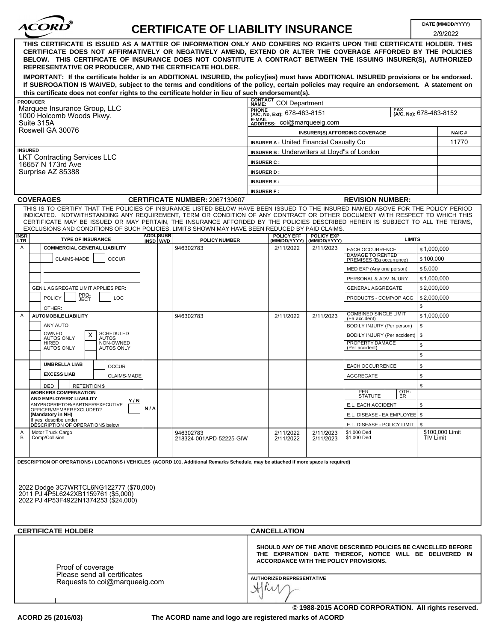| ACORD |  |
|-------|--|
|       |  |

## **CERTIFICATE OF LIABILITY INSURANCE**

2/9/2022

|                                                                                |                                                         |                              |                                                                                                                                                                                                                                                                                                                                                                                                                                                                                                    |                                              |                                   |                                                                                                                                                                      |                  | 2/9/2022               |
|--------------------------------------------------------------------------------|---------------------------------------------------------|------------------------------|----------------------------------------------------------------------------------------------------------------------------------------------------------------------------------------------------------------------------------------------------------------------------------------------------------------------------------------------------------------------------------------------------------------------------------------------------------------------------------------------------|----------------------------------------------|-----------------------------------|----------------------------------------------------------------------------------------------------------------------------------------------------------------------|------------------|------------------------|
| REPRESENTATIVE OR PRODUCER, AND THE CERTIFICATE HOLDER.                        |                                                         |                              | THIS CERTIFICATE IS ISSUED AS A MATTER OF INFORMATION ONLY AND CONFERS NO RIGHTS UPON THE CERTIFICATE HOLDER. THIS<br>CERTIFICATE DOES NOT AFFIRMATIVELY OR NEGATIVELY AMEND, EXTEND OR ALTER THE COVERAGE AFFORDED BY THE POLICIES<br>BELOW. THIS CERTIFICATE OF INSURANCE DOES NOT CONSTITUTE A CONTRACT BETWEEN THE ISSUING INSURER(S), AUTHORIZED                                                                                                                                              |                                              |                                   |                                                                                                                                                                      |                  |                        |
|                                                                                |                                                         |                              | IMPORTANT: If the certificate holder is an ADDITIONAL INSURED, the policy(ies) must have ADDITIONAL INSURED provisions or be endorsed.<br>If SUBROGATION IS WAIVED, subject to the terms and conditions of the policy, certain policies may require an endorsement. A statement on                                                                                                                                                                                                                 |                                              |                                   |                                                                                                                                                                      |                  |                        |
|                                                                                |                                                         |                              | this certificate does not confer rights to the certificate holder in lieu of such endorsement(s).                                                                                                                                                                                                                                                                                                                                                                                                  |                                              |                                   |                                                                                                                                                                      |                  |                        |
| <b>PRODUCER</b><br>Marquee Insurance Group, LLC                                |                                                         |                              |                                                                                                                                                                                                                                                                                                                                                                                                                                                                                                    | <b>CONTACT</b><br>NAME:                      | COI Department                    |                                                                                                                                                                      | FAX              |                        |
| 1000 Holcomb Woods Pkwy.                                                       |                                                         |                              |                                                                                                                                                                                                                                                                                                                                                                                                                                                                                                    | PHONE<br>[A/C, No, Ext): 678-483-8151        |                                   |                                                                                                                                                                      |                  | (AC. No): 678-483-8152 |
| Suite 315A                                                                     |                                                         |                              |                                                                                                                                                                                                                                                                                                                                                                                                                                                                                                    | <b>E-MAIL</b><br>ADDRESS: COI@marqueeig.com  |                                   |                                                                                                                                                                      |                  |                        |
| Roswell GA 30076                                                               |                                                         |                              |                                                                                                                                                                                                                                                                                                                                                                                                                                                                                                    |                                              |                                   | INSURER(S) AFFORDING COVERAGE                                                                                                                                        |                  | <b>NAIC#</b>           |
|                                                                                | <b>INSURER A: United Financial Casualty Co</b><br>11770 |                              |                                                                                                                                                                                                                                                                                                                                                                                                                                                                                                    |                                              |                                   |                                                                                                                                                                      |                  |                        |
| <b>INSURED</b><br><b>LKT Contracting Services LLC</b>                          |                                                         |                              |                                                                                                                                                                                                                                                                                                                                                                                                                                                                                                    | INSURER B: Underwriters at Lloyd"s of London |                                   |                                                                                                                                                                      |                  |                        |
| 16657 N 173rd Ave                                                              |                                                         |                              |                                                                                                                                                                                                                                                                                                                                                                                                                                                                                                    | <b>INSURER C:</b>                            |                                   |                                                                                                                                                                      |                  |                        |
| Surprise AZ 85388                                                              |                                                         |                              |                                                                                                                                                                                                                                                                                                                                                                                                                                                                                                    | <b>INSURER D:</b>                            |                                   |                                                                                                                                                                      |                  |                        |
|                                                                                |                                                         |                              |                                                                                                                                                                                                                                                                                                                                                                                                                                                                                                    | <b>INSURER E:</b>                            |                                   |                                                                                                                                                                      |                  |                        |
|                                                                                |                                                         |                              |                                                                                                                                                                                                                                                                                                                                                                                                                                                                                                    | <b>INSURER F:</b>                            |                                   |                                                                                                                                                                      |                  |                        |
| <b>COVERAGES</b>                                                               |                                                         |                              | <b>CERTIFICATE NUMBER: 2067130607</b>                                                                                                                                                                                                                                                                                                                                                                                                                                                              |                                              |                                   | <b>REVISION NUMBER:</b>                                                                                                                                              |                  |                        |
|                                                                                |                                                         |                              | THIS IS TO CERTIFY THAT THE POLICIES OF INSURANCE LISTED BELOW HAVE BEEN ISSUED TO THE INSURED NAMED ABOVE FOR THE POLICY PERIOD<br>INDICATED. NOTWITHSTANDING ANY REQUIREMENT, TERM OR CONDITION OF ANY CONTRACT OR OTHER DOCUMENT WITH RESPECT TO WHICH THIS<br>CERTIFICATE MAY BE ISSUED OR MAY PERTAIN, THE INSURANCE AFFORDED BY THE POLICIES DESCRIBED HEREIN IS SUBJECT TO ALL THE TERMS,<br>EXCLUSIONS AND CONDITIONS OF SUCH POLICIES. LIMITS SHOWN MAY HAVE BEEN REDUCED BY PAID CLAIMS. |                                              |                                   |                                                                                                                                                                      |                  |                        |
| INSR<br><b>TYPE OF INSURANCE</b><br><b>LTR</b>                                 |                                                         | <b>ADDL SUBR</b><br>INSD WVD | <b>POLICY NUMBER</b>                                                                                                                                                                                                                                                                                                                                                                                                                                                                               | <b>POLICY EFF</b><br>(MM/DD/YYYY)            | <b>POLICY EXP</b><br>(MM/DD/YYYY) |                                                                                                                                                                      | <b>LIMITS</b>    |                        |
| Α<br><b>COMMERCIAL GENERAL LIABILITY</b>                                       |                                                         |                              | 946302783                                                                                                                                                                                                                                                                                                                                                                                                                                                                                          | 2/11/2022                                    | 2/11/2023                         | <b>EACH OCCURRENCE</b><br><b>DAMAGE TO RENTED</b>                                                                                                                    |                  | \$1,000,000            |
| CLAIMS-MADE                                                                    | <b>OCCUR</b>                                            |                              |                                                                                                                                                                                                                                                                                                                                                                                                                                                                                                    |                                              |                                   | PREMISES (Ea occurrence)                                                                                                                                             |                  | \$100,000              |
|                                                                                |                                                         |                              |                                                                                                                                                                                                                                                                                                                                                                                                                                                                                                    |                                              |                                   | MED EXP (Any one person)                                                                                                                                             |                  | \$5,000                |
|                                                                                |                                                         |                              |                                                                                                                                                                                                                                                                                                                                                                                                                                                                                                    |                                              |                                   | PERSONAL & ADV INJURY                                                                                                                                                |                  | \$1,000,000            |
| GEN'L AGGREGATE LIMIT APPLIES PER:                                             |                                                         |                              |                                                                                                                                                                                                                                                                                                                                                                                                                                                                                                    |                                              |                                   | <b>GENERAL AGGREGATE</b>                                                                                                                                             |                  | \$2,000,000            |
| PRO-<br><b>POLICY</b><br>JECT                                                  | LOC                                                     |                              |                                                                                                                                                                                                                                                                                                                                                                                                                                                                                                    |                                              |                                   | PRODUCTS - COMP/OP AGG                                                                                                                                               |                  | \$2,000,000            |
| OTHER:                                                                         |                                                         |                              |                                                                                                                                                                                                                                                                                                                                                                                                                                                                                                    |                                              |                                   | <b>COMBINED SINGLE LIMIT</b>                                                                                                                                         | \$               |                        |
| <b>AUTOMOBILE LIABILITY</b><br>A                                               |                                                         |                              | 946302783                                                                                                                                                                                                                                                                                                                                                                                                                                                                                          | 2/11/2022                                    | 2/11/2023                         | (Ea accident)                                                                                                                                                        |                  | \$1,000,000            |
| ANY AUTO<br>OWNED                                                              |                                                         |                              |                                                                                                                                                                                                                                                                                                                                                                                                                                                                                                    |                                              |                                   | BODILY INJURY (Per person)                                                                                                                                           | \$               |                        |
| X<br><b>AUTOS ONLY</b><br>HIRED                                                | <b>SCHEDULED</b><br><b>AUTOS</b><br>NON-OWNED           |                              |                                                                                                                                                                                                                                                                                                                                                                                                                                                                                                    |                                              |                                   | BODILY INJURY (Per accident)<br>PROPERTY DAMAGE                                                                                                                      | \$               |                        |
| <b>AUTOS ONLY</b>                                                              | <b>AUTOS ONLY</b>                                       |                              |                                                                                                                                                                                                                                                                                                                                                                                                                                                                                                    |                                              |                                   | (Per accident)                                                                                                                                                       | \$               |                        |
|                                                                                |                                                         |                              |                                                                                                                                                                                                                                                                                                                                                                                                                                                                                                    |                                              |                                   |                                                                                                                                                                      | \$               |                        |
| <b>UMBRELLA LIAB</b>                                                           | <b>OCCUR</b>                                            |                              |                                                                                                                                                                                                                                                                                                                                                                                                                                                                                                    |                                              |                                   | <b>EACH OCCURRENCE</b>                                                                                                                                               | \$               |                        |
| <b>EXCESS LIAB</b>                                                             | <b>CLAIMS-MADE</b>                                      |                              |                                                                                                                                                                                                                                                                                                                                                                                                                                                                                                    |                                              |                                   | AGGREGATE                                                                                                                                                            | \$               |                        |
| <b>DED</b><br><b>RETENTION \$</b>                                              |                                                         |                              |                                                                                                                                                                                                                                                                                                                                                                                                                                                                                                    |                                              |                                   |                                                                                                                                                                      | \$               |                        |
| <b>WORKERS COMPENSATION</b><br><b>AND EMPLOYERS' LIABILITY</b>                 | Y/N                                                     |                              |                                                                                                                                                                                                                                                                                                                                                                                                                                                                                                    |                                              |                                   | PER<br>STATUTE                                                                                                                                                       | $\frac{QTH}{ER}$ |                        |
| ANYPROPRIETOR/PARTNER/EXECUTIVE<br>OFFICER/MEMBER EXCLUDED?                    |                                                         | N/A                          |                                                                                                                                                                                                                                                                                                                                                                                                                                                                                                    |                                              |                                   | E.L. EACH ACCIDENT                                                                                                                                                   | \$               |                        |
| (Mandatory in NH)                                                              |                                                         |                              |                                                                                                                                                                                                                                                                                                                                                                                                                                                                                                    |                                              |                                   | E.L. DISEASE - EA EMPLOYEE   \$                                                                                                                                      |                  |                        |
| If yes, describe under<br>DESCRIPTION OF OPERATIONS below                      |                                                         |                              |                                                                                                                                                                                                                                                                                                                                                                                                                                                                                                    |                                              |                                   | E.L. DISEASE - POLICY LIMIT                                                                                                                                          | \$               | \$100,000 Limit        |
| Motor Truck Cargo<br>A<br>$\overline{B}$<br>Comp/Collision                     |                                                         |                              | 946302783<br>218324-001APD-52225-GIW                                                                                                                                                                                                                                                                                                                                                                                                                                                               | 2/11/2022<br>2/11/2022                       | 2/11/2023<br>2/11/2023            | \$1,000 Ded<br>\$1,000 Ded                                                                                                                                           |                  | <b>TIV Limit</b>       |
|                                                                                |                                                         |                              | DESCRIPTION OF OPERATIONS / LOCATIONS / VEHICLES (ACORD 101, Additional Remarks Schedule, may be attached if more space is required)                                                                                                                                                                                                                                                                                                                                                               |                                              |                                   |                                                                                                                                                                      |                  |                        |
| 2022 Dodge 3C7WRTCL6NG122777 (\$70,000)<br>2011 PJ 4P5L6242XB1159761 (\$5,000) |                                                         |                              |                                                                                                                                                                                                                                                                                                                                                                                                                                                                                                    |                                              |                                   |                                                                                                                                                                      |                  |                        |
| 2022 PJ 4P53F4922N1374253 (\$24,000)                                           |                                                         |                              |                                                                                                                                                                                                                                                                                                                                                                                                                                                                                                    |                                              |                                   |                                                                                                                                                                      |                  |                        |
| <b>CERTIFICATE HOLDER</b>                                                      |                                                         |                              |                                                                                                                                                                                                                                                                                                                                                                                                                                                                                                    | <b>CANCELLATION</b>                          |                                   |                                                                                                                                                                      |                  |                        |
| Proof of coverage                                                              | Please send all certificates                            |                              |                                                                                                                                                                                                                                                                                                                                                                                                                                                                                                    |                                              |                                   | SHOULD ANY OF THE ABOVE DESCRIBED POLICIES BE CANCELLED BEFORE<br>THE EXPIRATION DATE THEREOF, NOTICE WILL BE DELIVERED IN<br>ACCORDANCE WITH THE POLICY PROVISIONS. |                  |                        |
|                                                                                | Requests to coi@marqueeig.com                           |                              |                                                                                                                                                                                                                                                                                                                                                                                                                                                                                                    | AUTHORIZED REPRESENTATIVE                    |                                   |                                                                                                                                                                      |                  |                        |
|                                                                                |                                                         |                              |                                                                                                                                                                                                                                                                                                                                                                                                                                                                                                    |                                              |                                   | @1988-2015 ACORD CORPORATION. All rights reserved.                                                                                                                   |                  |                        |

**The ACORD name and logo are registered marks of ACORD**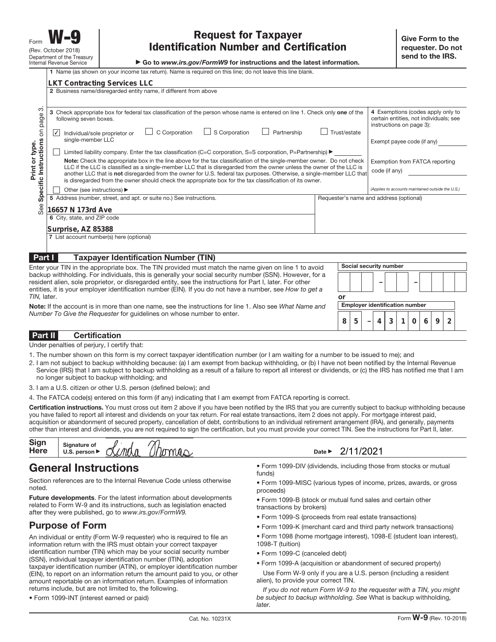▶ Go to www.irs.gov/FormW9 for instructions and the latest information.

|                                                              | 1 Name (as shown on your income tax return). Name is required on this line; do not leave this line blank.                                                                                                                                                                                                                                                                                                                                                                                                                                                                                                                                                                                                                                                                                                                                                                                                                                                                                                                                   |                                                                   |                                                         |                        |                                       |                                                                                                                                                                                                                              |   |   |   |   |  |
|--------------------------------------------------------------|---------------------------------------------------------------------------------------------------------------------------------------------------------------------------------------------------------------------------------------------------------------------------------------------------------------------------------------------------------------------------------------------------------------------------------------------------------------------------------------------------------------------------------------------------------------------------------------------------------------------------------------------------------------------------------------------------------------------------------------------------------------------------------------------------------------------------------------------------------------------------------------------------------------------------------------------------------------------------------------------------------------------------------------------|-------------------------------------------------------------------|---------------------------------------------------------|------------------------|---------------------------------------|------------------------------------------------------------------------------------------------------------------------------------------------------------------------------------------------------------------------------|---|---|---|---|--|
|                                                              | <b>LKT Contracting Services LLC</b>                                                                                                                                                                                                                                                                                                                                                                                                                                                                                                                                                                                                                                                                                                                                                                                                                                                                                                                                                                                                         |                                                                   |                                                         |                        |                                       |                                                                                                                                                                                                                              |   |   |   |   |  |
|                                                              | 2 Business name/disregarded entity name, if different from above                                                                                                                                                                                                                                                                                                                                                                                                                                                                                                                                                                                                                                                                                                                                                                                                                                                                                                                                                                            |                                                                   |                                                         |                        |                                       |                                                                                                                                                                                                                              |   |   |   |   |  |
| က<br>Specific Instructions on page<br>Print or type.<br>See: | 3 Check appropriate box for federal tax classification of the person whose name is entered on line 1. Check only one of the<br>following seven boxes.<br>C Corporation<br>$\Box$ S Corporation<br>Individual/sole proprietor or<br>$\vert \sqrt{} \vert$<br>single-member LLC<br>Limited liability company. Enter the tax classification (C=C corporation, S=S corporation, P=Partnership) ▶<br>Note: Check the appropriate box in the line above for the tax classification of the single-member owner. Do not check<br>LLC if the LLC is classified as a single-member LLC that is disregarded from the owner unless the owner of the LLC is<br>another LLC that is not disregarded from the owner for U.S. federal tax purposes. Otherwise, a single-member LLC that<br>is disregarded from the owner should check the appropriate box for the tax classification of its owner.<br>Other (see instructions) ▶<br>5 Address (number, street, and apt. or suite no.) See instructions.<br>16657 N 173rd Ave<br>6 City, state, and ZIP code | Partnership                                                       | Trust/estate<br>Requester's name and address (optional) |                        | code (if any)                         | 4 Exemptions (codes apply only to<br>certain entities, not individuals; see<br>instructions on page 3):<br>Exempt payee code (if any)<br>Exemption from FATCA reporting<br>(Applies to accounts maintained outside the U.S.) |   |   |   |   |  |
|                                                              | Surprise, AZ 85388                                                                                                                                                                                                                                                                                                                                                                                                                                                                                                                                                                                                                                                                                                                                                                                                                                                                                                                                                                                                                          |                                                                   |                                                         |                        |                                       |                                                                                                                                                                                                                              |   |   |   |   |  |
|                                                              | 7 List account number(s) here (optional)                                                                                                                                                                                                                                                                                                                                                                                                                                                                                                                                                                                                                                                                                                                                                                                                                                                                                                                                                                                                    |                                                                   |                                                         |                        |                                       |                                                                                                                                                                                                                              |   |   |   |   |  |
|                                                              |                                                                                                                                                                                                                                                                                                                                                                                                                                                                                                                                                                                                                                                                                                                                                                                                                                                                                                                                                                                                                                             |                                                                   |                                                         |                        |                                       |                                                                                                                                                                                                                              |   |   |   |   |  |
| Part I                                                       | <b>Taxpayer Identification Number (TIN)</b>                                                                                                                                                                                                                                                                                                                                                                                                                                                                                                                                                                                                                                                                                                                                                                                                                                                                                                                                                                                                 |                                                                   |                                                         |                        |                                       |                                                                                                                                                                                                                              |   |   |   |   |  |
|                                                              | Enter your TIN in the appropriate box. The TIN provided must match the name given on line 1 to avoid                                                                                                                                                                                                                                                                                                                                                                                                                                                                                                                                                                                                                                                                                                                                                                                                                                                                                                                                        |                                                                   |                                                         | Social security number |                                       |                                                                                                                                                                                                                              |   |   |   |   |  |
|                                                              | backup withholding. For individuals, this is generally your social security number (SSN). However, for a                                                                                                                                                                                                                                                                                                                                                                                                                                                                                                                                                                                                                                                                                                                                                                                                                                                                                                                                    |                                                                   |                                                         |                        |                                       |                                                                                                                                                                                                                              |   |   |   |   |  |
|                                                              | resident alien, sole proprietor, or disregarded entity, see the instructions for Part I, later. For other<br>entities, it is your employer identification number (EIN). If you do not have a number, see How to get a                                                                                                                                                                                                                                                                                                                                                                                                                                                                                                                                                                                                                                                                                                                                                                                                                       |                                                                   |                                                         |                        |                                       |                                                                                                                                                                                                                              |   |   |   |   |  |
| TIN, later.                                                  |                                                                                                                                                                                                                                                                                                                                                                                                                                                                                                                                                                                                                                                                                                                                                                                                                                                                                                                                                                                                                                             |                                                                   | or                                                      |                        |                                       |                                                                                                                                                                                                                              |   |   |   |   |  |
|                                                              | Note: If the account is in more than one name, see the instructions for line 1. Also see What Name and                                                                                                                                                                                                                                                                                                                                                                                                                                                                                                                                                                                                                                                                                                                                                                                                                                                                                                                                      |                                                                   |                                                         |                        | <b>Employer identification number</b> |                                                                                                                                                                                                                              |   |   |   |   |  |
|                                                              | Number To Give the Requester for quidelines on whose number to enter.                                                                                                                                                                                                                                                                                                                                                                                                                                                                                                                                                                                                                                                                                                                                                                                                                                                                                                                                                                       |                                                                   |                                                         |                        |                                       |                                                                                                                                                                                                                              |   |   |   |   |  |
|                                                              |                                                                                                                                                                                                                                                                                                                                                                                                                                                                                                                                                                                                                                                                                                                                                                                                                                                                                                                                                                                                                                             |                                                                   | 8                                                       | 5                      | 4                                     | 3<br>1                                                                                                                                                                                                                       | 0 | 6 | 9 | 2 |  |
| Part II                                                      | <b>Certification</b>                                                                                                                                                                                                                                                                                                                                                                                                                                                                                                                                                                                                                                                                                                                                                                                                                                                                                                                                                                                                                        |                                                                   |                                                         |                        |                                       |                                                                                                                                                                                                                              |   |   |   |   |  |
|                                                              | Under penalties of perjury, I certify that:                                                                                                                                                                                                                                                                                                                                                                                                                                                                                                                                                                                                                                                                                                                                                                                                                                                                                                                                                                                                 |                                                                   |                                                         |                        |                                       |                                                                                                                                                                                                                              |   |   |   |   |  |
|                                                              | 1. The number shown on this form is my correct taxpayer identification number (or I am waiting for a number to be issued to me); and<br>2. I am not subject to backup withholding because: (a) I am exempt from backup withholding, or (b) I have not been notified by the Internal Revenue<br>Service (IRS) that I am subject to backup withholding as a result of a failure to report all interest or dividends, or (c) the IRS has notified me that I am<br>no longer subject to backup withholding; and                                                                                                                                                                                                                                                                                                                                                                                                                                                                                                                                 |                                                                   |                                                         |                        |                                       |                                                                                                                                                                                                                              |   |   |   |   |  |
|                                                              | 3. I am a U.S. citizen or other U.S. person (defined below); and                                                                                                                                                                                                                                                                                                                                                                                                                                                                                                                                                                                                                                                                                                                                                                                                                                                                                                                                                                            |                                                                   |                                                         |                        |                                       |                                                                                                                                                                                                                              |   |   |   |   |  |
|                                                              | 4. The FATCA code(s) entered on this form (if any) indicating that I am exempt from FATCA reporting is correct.                                                                                                                                                                                                                                                                                                                                                                                                                                                                                                                                                                                                                                                                                                                                                                                                                                                                                                                             |                                                                   |                                                         |                        |                                       |                                                                                                                                                                                                                              |   |   |   |   |  |
|                                                              | Certification instructions. You must cross out item 2 above if you have been notified by the IRS that you are currently subject to backup withholding because<br>you have failed to report all interest and dividends on your tax return. For real estate transactions, item 2 does not apply. For mortgage interest paid,<br>acquisition or abandonment of secured property, cancellation of debt, contributions to an individual retirement arrangement (IRA), and generally, payments<br>other than interest and dividends, you are not required to sign the certification, but you must provide your correct TIN. See the instructions for Part II, later.                                                                                                                                                                                                                                                                                                                                                                              |                                                                   |                                                         |                        |                                       |                                                                                                                                                                                                                              |   |   |   |   |  |
| <b>Sign</b><br>Here                                          | Signature of<br>nomis<br>U.S. person ▶                                                                                                                                                                                                                                                                                                                                                                                                                                                                                                                                                                                                                                                                                                                                                                                                                                                                                                                                                                                                      | Date $\blacktriangleright$                                        |                                                         | 2/11/2021              |                                       |                                                                                                                                                                                                                              |   |   |   |   |  |
|                                                              | <b>General Instructions</b><br>funde)                                                                                                                                                                                                                                                                                                                                                                                                                                                                                                                                                                                                                                                                                                                                                                                                                                                                                                                                                                                                       | . Form 1099-DIV (dividends, including those from stocks or mutual |                                                         |                        |                                       |                                                                                                                                                                                                                              |   |   |   |   |  |

#### **Part II Certification**

- 1. The number shown on this form is my correct taxpayer identification number (or I am waiting for a number to be issued to me); and
- 2. I am not subject to backup withholding because: (a) I am exempt from backup withholding, or (b) I have not been notified by the Internal Revenue Service (IRS) that I am subject to backup withholding as a result of a failure to report all interest or dividends, or (c) the IRS has notified me that I am no longer subject to backup withholding; and
- 3. I am a U.S. citizen or other U.S. person (defined below); and
- 4. The FATCA code(s) entered on this form (if any) indicating that I am exempt from FATCA reporting is correct.

| Sigr<br><b>Here</b> | Signature of<br>U.S<br>nerson<br>__ | $\sqrt{2}$<br>$\mathbf{v}$<br><b>MA</b> | л<br>и | Date | . J 4<br>- |
|---------------------|-------------------------------------|-----------------------------------------|--------|------|------------|

### **General Instructions**

Section references are to the Internal Revenue Code unless otherwise noted.

**Future developments**. For the latest information about developments related to Form W-9 and its instructions, such as legislation enacted after they were published, go to www.irs.gov/FormW9.

### **Purpose of Form**

An individual or entity (Form W-9 requester) who is required to file an information return with the IRS must obtain your correct taxpayer identification number (TIN) which may be your social security number (SSN), individual taxpayer identification number (ITIN), adoption taxpayer identification number (ATIN), or employer identification number (EIN), to report on an information return the amount paid to you, or other amount reportable on an information return. Examples of information returns include, but are not limited to, the following.

• Form 1099-INT (interest earned or paid)

• Form 1099-DIV (dividends, including those from stocks or mutual funds)

- Form 1099-MISC (various types of income, prizes, awards, or gross proceeds)
- Form 1099-B (stock or mutual fund sales and certain other transactions by brokers)
- Form 1099-S (proceeds from real estate transactions)
- Form 1099-K (merchant card and third party network transactions)
- Form 1098 (home mortgage interest), 1098-E (student loan interest),
- 1098-T (tuition)
- Form 1099-C (canceled debt)
- Form 1099-A (acquisition or abandonment of secured property)
- Use Form W-9 only if you are a U.S. person (including a resident alien), to provide your correct TIN.

If you do not return Form W-9 to the requester with a TIN, you might be subject to backup withholding. See What is backup withholding, **later**